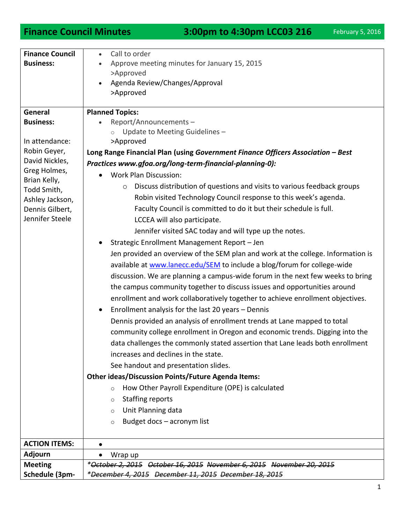**Finance Council Minutes** 3:00pm to 4:30pm LCC03 216 February 5, 2016

| <b>Finance Council</b>      | Call to order<br>$\bullet$                                                         |
|-----------------------------|------------------------------------------------------------------------------------|
| <b>Business:</b>            | Approve meeting minutes for January 15, 2015                                       |
|                             | >Approved                                                                          |
|                             | Agenda Review/Changes/Approval                                                     |
|                             | >Approved                                                                          |
|                             |                                                                                    |
| General                     | <b>Planned Topics:</b>                                                             |
| <b>Business:</b>            | Report/Announcements-                                                              |
|                             | Update to Meeting Guidelines -                                                     |
| In attendance:              | >Approved                                                                          |
| Robin Geyer,                | Long Range Financial Plan (using Government Finance Officers Association - Best    |
| David Nickles,              | Practices www.gfoa.org/long-term-financial-planning-0):                            |
| Greg Holmes,                | <b>Work Plan Discussion:</b>                                                       |
| Brian Kelly,<br>Todd Smith, | Discuss distribution of questions and visits to various feedback groups<br>$\circ$ |
| Ashley Jackson,             | Robin visited Technology Council response to this week's agenda.                   |
| Dennis Gilbert,             | Faculty Council is committed to do it but their schedule is full.                  |
| Jennifer Steele             | LCCEA will also participate.                                                       |
|                             |                                                                                    |
|                             | Jennifer visited SAC today and will type up the notes.                             |
|                             | Strategic Enrollment Management Report - Jen                                       |
|                             | Jen provided an overview of the SEM plan and work at the college. Information is   |
|                             | available at www.lanecc.edu/SEM to include a blog/forum for college-wide           |
|                             | discussion. We are planning a campus-wide forum in the next few weeks to bring     |
|                             | the campus community together to discuss issues and opportunities around           |
|                             | enrollment and work collaboratively together to achieve enrollment objectives.     |
|                             | Enrollment analysis for the last 20 years - Dennis<br>$\bullet$                    |
|                             | Dennis provided an analysis of enrollment trends at Lane mapped to total           |
|                             |                                                                                    |
|                             | community college enrollment in Oregon and economic trends. Digging into the       |
|                             | data challenges the commonly stated assertion that Lane leads both enrollment      |
|                             | increases and declines in the state.                                               |
|                             | See handout and presentation slides.                                               |
|                             | <b>Other ideas/Discussion Points/Future Agenda Items:</b>                          |
|                             | How Other Payroll Expenditure (OPE) is calculated<br>$\circ$                       |
|                             | <b>Staffing reports</b><br>$\circ$                                                 |
|                             | Unit Planning data<br>$\circ$                                                      |
|                             | Budget docs - acronym list<br>$\circ$                                              |
|                             |                                                                                    |
| <b>ACTION ITEMS:</b>        | $\bullet$                                                                          |
| <b>Adjourn</b>              | Wrap up                                                                            |
| <b>Meeting</b>              | *October 2, 2015 October 16, 2015 November 6, 2015 November 20, 2015               |
| Schedule (3pm-              | *December 4, 2015 December 11, 2015 December 18, 2015                              |